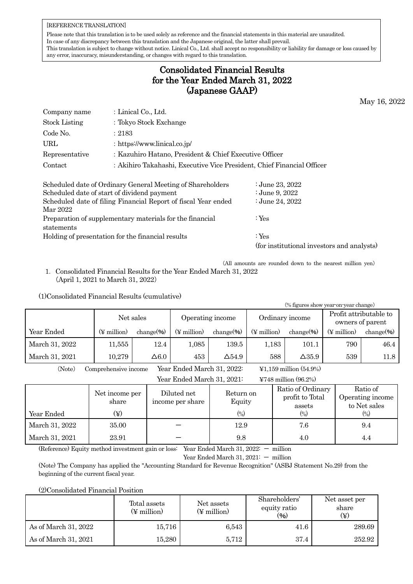#### [REFERENCE TRANSLATION]

Please note that this translation is to be used solely as reference and the financial statements in this material are unaudited. In case of any discrepancy between this translation and the Japanese original, the latter shall prevail. This translation is subject to change without notice. Linical Co., Ltd. shall accept no responsibility or liability for damage or loss caused by any error, inaccuracy, misunderstanding, or changes with regard to this translation.

## Consolidated Financial Results for the Year Ended March 31, 2022 (Japanese GAAP)

May 16, 2022

| Company name   | : Linical Co., Ltd.                                                    |
|----------------|------------------------------------------------------------------------|
| Stock Listing  | : Tokyo Stock Exchange                                                 |
| Code No.       | : 2183                                                                 |
| URL            | : https://www.linical.co.jp/                                           |
| Representative | : Kazuhiro Hatano, President & Chief Executive Officer                 |
| Contact        | : Akihiro Takahashi, Executive Vice President, Chief Financial Officer |

| Scheduled date of Ordinary General Meeting of Shareholders     | ∶June 23, 2022                             |
|----------------------------------------------------------------|--------------------------------------------|
| Scheduled date of start of dividend payment                    | ∶June 9, 2022                              |
| Scheduled date of filing Financial Report of fiscal Year ended | : June 24, 2022                            |
| Mar 2022                                                       |                                            |
| Preparation of supplementary materials for the financial       | : $Yes$                                    |
| statements                                                     |                                            |
| Holding of presentation for the financial results              | : $Yes$                                    |
|                                                                | (for institutional investors and analysts) |

(All amounts are rounded down to the nearest million yen)

1.Consolidated Financial Results for the Year Ended March 31, 2022 (April 1, 2021 to March 31, 2022)

#### (1)Consolidated Financial Results (cumulative)

| (% figures show year-on-year change)                 |  |                         |                |                            |                        |                         |                                             |  |                         |                  |
|------------------------------------------------------|--|-------------------------|----------------|----------------------------|------------------------|-------------------------|---------------------------------------------|--|-------------------------|------------------|
|                                                      |  | Net sales               |                | Operating income           |                        |                         | Ordinary income                             |  | Profit attributable to  |                  |
|                                                      |  |                         |                |                            |                        |                         |                                             |  | owners of parent        |                  |
| Year Ended                                           |  | $(\frac{1}{2}$ million) | change $(\% )$ | $(\frac{1}{2}$ million     | change $(\frac{6}{6})$ | $(\frac{1}{2}$ million) | change $(\frac{6}{6})$                      |  | $(\frac{1}{2}$ million) | change $(\% )$   |
| March 31, 2022                                       |  | 11,555                  | 12.4           | 1,085                      | 139.5                  | 1,183                   | 101.1                                       |  | 790                     | 46.4             |
| March 31, 2021                                       |  | 10,279                  | $\Delta6.0$    | 453                        | $\Delta$ 54.9          | 588                     | $\Delta$ 35.9                               |  | 539                     | 11.8             |
| (Note)                                               |  | Comprehensive income    |                | Year Ended March 31, 2022: |                        |                         | $\text{\textsterling}1,159$ million (54.9%) |  |                         |                  |
| Year Ended March 31, 2021:<br>¥748 million $(96.2%)$ |  |                         |                |                            |                        |                         |                                             |  |                         |                  |
|                                                      |  |                         |                | Diluted net                | Return on              |                         | Ratio of Ordinary                           |  |                         | Ratio of         |
|                                                      |  | Net income per<br>share |                | income per share           | Equity                 |                         | profit to Total                             |  |                         | Operating income |
|                                                      |  |                         |                |                            |                        |                         | accotc                                      |  |                         | to Net sales     |

|                | TTCD THROTHE NET<br>share | Duucu nee<br>income per share | Trebutti oli<br>Equity | profit to Total<br>assets | Operating income<br>to Net sales |
|----------------|---------------------------|-------------------------------|------------------------|---------------------------|----------------------------------|
| Year Ended     | $(\maltese)$              |                               | $\binom{0}{0}$         | $(\%)$                    | (0/0)                            |
| March 31, 2022 | 35.00                     |                               | 12.9                   | 7.6                       | 9.4                              |
| March 31, 2021 | 23.91                     |                               | 9.8                    | 4.0                       | 4.4                              |

(Reference) Equity method investment gain or loss: Year Ended March 31, 2022: - million

Year Ended March 31,  $2021: -$  million

(Note) The Company has applied the "Accounting Standard for Revenue Recognition" (ASBJ Statement No.29) from the beginning of the current fiscal year.

(2)Consolidated Financial Position

|                      | Total assets<br>(¥ million) | Net assets<br>(¥ million) | Shareholders'<br>equity ratio<br>$(\% )$ | Net asset per<br>share |  |
|----------------------|-----------------------------|---------------------------|------------------------------------------|------------------------|--|
| As of March 31, 2022 | 15,716                      | 6,543                     | 41.6                                     | 289.69                 |  |
| As of March 31, 2021 | 15,280                      | 5,712                     | 37.4                                     | 252.92                 |  |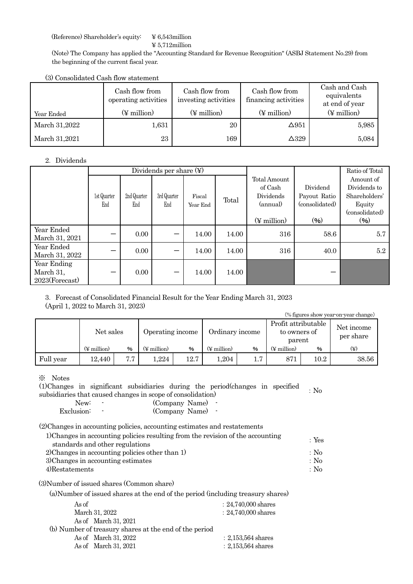(Reference) Shareholder's equity: ¥ 6,543million

¥ 5,712million

(Note) The Company has applied the "Accounting Standard for Revenue Recognition" (ASBJ Statement No.29) from the beginning of the current fiscal year.

(3) Consolidated Cash flow statement

| Year Ended    | Cash flow from<br>operating activities<br>$(\frac{1}{2}$ million) | Cash flow from<br>investing activities<br>(¥ million) | Cash flow from<br>financing activities<br>$(\frac{1}{2}$ million) | Cash and Cash<br>equivalents<br>at end of year<br>$(\frac{1}{2}$ million) |
|---------------|-------------------------------------------------------------------|-------------------------------------------------------|-------------------------------------------------------------------|---------------------------------------------------------------------------|
| March 31,2022 | 1,631                                                             | 20                                                    | $\Delta$ 951                                                      | 5,985                                                                     |
| March 31,2021 | 23                                                                | 169                                                   | $\Delta$ 329                                                      | 5,084                                                                     |

#### 2.Dividends

|                |             |             | Dividends per share $(\nabla)$ |          |       |                         | Ratio of Total |                |
|----------------|-------------|-------------|--------------------------------|----------|-------|-------------------------|----------------|----------------|
|                |             |             |                                |          |       | Total Amount            |                | Amount of      |
|                |             |             |                                |          |       | of Cash                 | Dividend       | Dividends to   |
|                | 1st Quarter | 2nd Quarter | 3rd Quarter                    | Fiscal   | Total | Dividends               | Payout Ratio   | Shareholders'  |
|                | End         | End         | End                            | Year End |       | (annual)                | (consolidated) | Equity         |
|                |             |             |                                |          |       |                         |                | (consolidated) |
|                |             |             |                                |          |       | $(\frac{1}{2}$ million) | (96)           | (96)           |
| Year Ended     |             | 0.00        |                                | 14.00    | 14.00 | 316                     | 58.6           | 5.7            |
| March 31, 2021 |             |             |                                |          |       |                         |                |                |
| Year Ended     |             | 0.00        |                                | 14.00    | 14.00 | 316                     | 40.0           | 5.2            |
| March 31, 2022 |             |             |                                |          |       |                         |                |                |
| Year Ending    |             |             |                                |          |       |                         |                |                |
| March 31,      |             | 0.00        |                                | 14.00    | 14.00 |                         |                |                |
| 2023(Forecast) |             |             |                                |          |       |                         |                |                |

3.Forecast of Consolidated Financial Result for the Year Ending March 31, 2023 (April 1, 2022 to March 31, 2023)

| (% figures show year-on-year change) |                        |      |                         |      |                         |     |                                     |        |                         |  |
|--------------------------------------|------------------------|------|-------------------------|------|-------------------------|-----|-------------------------------------|--------|-------------------------|--|
|                                      | Net sales              |      | Operating income        |      | Ordinary income         |     | Profit attributable<br>to owners of |        | Net income<br>per share |  |
|                                      |                        |      |                         |      |                         |     |                                     | parent |                         |  |
|                                      | $(\frac{1}{2}$ million | $\%$ | $(\frac{1}{2})$ million | %    | $(\frac{1}{2}$ million) | %   | $(\frac{1}{2}$ million)             | %      | $(\c{Y})$               |  |
| Full year                            | 12.440                 | 7.7  | ,224                    | 12.7 | 1,204                   | 1.7 | 871                                 | 10.2   | 38.56                   |  |

※ Notes

(1)Changes in significant subsidiaries during the period(changes in specified The period changes in significant subsidiaries during the period changes in specified  $\sim$  No subsidiaries that caused changes in scope of consolidation)

| New:       | $\overline{\phantom{a}}$ | (Company Name) |  |
|------------|--------------------------|----------------|--|
| Exclusion: |                          | (Company Name) |  |

(2)Changes in accounting policies, accounting estimates and restatements

| 1) Changes in accounting policies resulting from the revision of the accounting | : Yes |
|---------------------------------------------------------------------------------|-------|
| standards and other regulations                                                 |       |
| 2) Changes in accounting policies other than 1)                                 | : No  |
| 3) Changes in accounting estimates                                              | : No  |
| 4)Restatements                                                                  | : No  |
| (3) Number of issued shares (Common share)                                      |       |

(a)Number of issued shares at the end of the period (including treasury shares)

| As of                                                  | $: 24,740,000$ shares |
|--------------------------------------------------------|-----------------------|
| March 31, 2022                                         | $: 24,740,000$ shares |
| As of March 31, 2021                                   |                       |
| (b) Number of treasury shares at the end of the period |                       |
| As of March 31, 2022                                   | $: 2,153,564$ shares  |
| As of March 31, 2021                                   | $: 2,153,564$ shares  |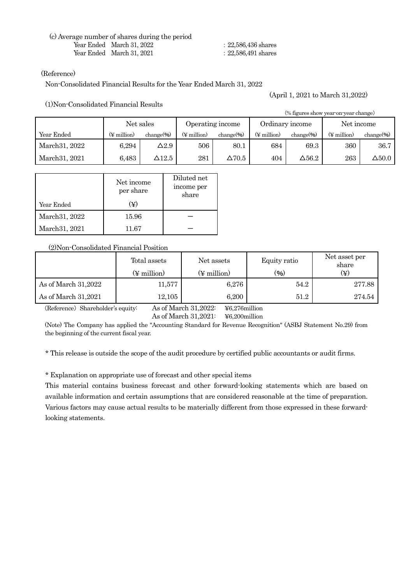(c) Average number of shares during the period Year Ended March 31, 2022 Year Ended March 31, 2021

:22,586,436 shares

:22,586,491 shares

#### (Reference)

Non-Consolidated Financial Results for the Year Ended March 31, 2022

(1)Non-Consolidated Financial Results

(April 1, 2021 to March 31,2022)

| (% figures show year on year change) |                         |                                                  |                         |                |                         |               |                         |               |  |  |
|--------------------------------------|-------------------------|--------------------------------------------------|-------------------------|----------------|-------------------------|---------------|-------------------------|---------------|--|--|
|                                      |                         | Net sales<br>Ordinary income<br>Operating income |                         |                |                         | Net income    |                         |               |  |  |
| Year Ended                           | $(\frac{1}{2})$ million | $change($ % $)$                                  | $(\frac{1}{2})$ million | $change$ % $)$ | $(\frac{1}{2}$ million) | $change$ %)   | $(\frac{1}{2}$ million) | $change$ %)   |  |  |
| March 31, 2022                       | 6.294                   | $\Delta2.9$                                      | 506                     | 80.1           | 684                     | 69.3          | 360                     | 36.7          |  |  |
| March 31, 2021                       | 6,483                   | $\Delta12.5$                                     | 281                     | $\Delta 70.5$  | 404                     | $\Delta 56.2$ | 263                     | $\Delta$ 50.0 |  |  |

| Year Ended     | Net income<br>per share<br>(¥) | Diluted net<br>income per<br>share |
|----------------|--------------------------------|------------------------------------|
| March 31, 2022 | 15.96                          |                                    |
| March 31, 2021 | 11.67                          |                                    |

#### (2)Non-Consolidated Financial Position

|                     | Total assets<br>$(\frac{1}{2}$ million) | Net assets<br>$(\frac{1}{2}$ million) | Equity ratio<br>(9/0) | Net asset per<br>share<br>$(\c\ddot{\textbf{Y}})$ |
|---------------------|-----------------------------------------|---------------------------------------|-----------------------|---------------------------------------------------|
| As of March 31,2022 | 11,577                                  | 6,276                                 | 54.2                  | 277.88                                            |
| As of March 31,2021 | 12,105                                  | 6,200                                 | 51.2                  | 274.54                                            |

(Reference) Shareholder's equity: As of March 31,2022: ¥6,276million

As of March 31,2021: ¥6,200million

(Note) The Company has applied the "Accounting Standard for Revenue Recognition" (ASBJ Statement No.29) from the beginning of the current fiscal year.

\* This release is outside the scope of the audit procedure by certified public accountants or audit firms.

\* Explanation on appropriate use of forecast and other special items

This material contains business forecast and other forward-looking statements which are based on available information and certain assumptions that are considered reasonable at the time of preparation. Various factors may cause actual results to be materially different from those expressed in these forwardlooking statements.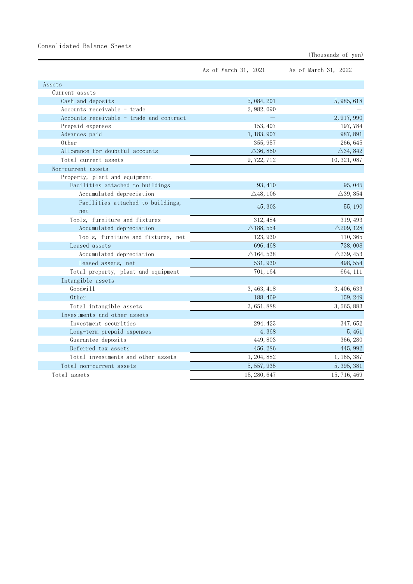## Consolidated Balance Sheets

| (Thousands of yen) |  |  |
|--------------------|--|--|
|--------------------|--|--|

|                                          | As of March 31, 2021 | As of March 31, 2022 |
|------------------------------------------|----------------------|----------------------|
| Assets                                   |                      |                      |
| Current assets                           |                      |                      |
| Cash and deposits                        | 5, 084, 201          | 5, 985, 618          |
| Accounts receivable - trade              | 2, 982, 090          |                      |
| Accounts receivable - trade and contract |                      | 2, 917, 990          |
| Prepaid expenses                         | 153, 407             | 197,784              |
| Advances paid                            | 1, 183, 907          | 987, 891             |
| 0ther                                    | 355, 957             | 266, 645             |
| Allowance for doubtful accounts          | $\triangle$ 36, 850  | $\triangle$ 34, 842  |
| Total current assets                     | 9, 722, 712          | 10, 321, 087         |
| Non-current assets                       |                      |                      |
| Property, plant and equipment            |                      |                      |
| Facilities attached to buildings         | 93, 410              | 95, 045              |
| Accumulated depreciation                 | $\triangle$ 48, 106  | $\triangle$ 39, 854  |
| Facilities attached to buildings,        |                      |                      |
| net                                      | 45, 303              | 55, 190              |
| Tools, furniture and fixtures            | 312, 484             | 319, 493             |
| Accumulated depreciation                 | $\triangle$ 188, 554 | $\triangle$ 209, 128 |
| Tools, furniture and fixtures, net       | 123, 930             | 110, 365             |
| Leased assets                            | 696, 468             | 738,008              |
| Accumulated depreciation                 | $\triangle$ 164, 538 | $\triangle$ 239, 453 |
| Leased assets, net                       | 531, 930             | 498, 554             |
| Total property, plant and equipment      | 701, 164             | 664, 111             |
| Intangible assets                        |                      |                      |
| Goodwill                                 | 3, 463, 418          | 3, 406, 633          |
| 0ther                                    | 188, 469             | 159, 249             |
| Total intangible assets                  | 3, 651, 888          | 3, 565, 883          |
| Investments and other assets             |                      |                      |
| Investment securities                    | 294, 423             | 347, 652             |
| Long-term prepaid expenses               | 4,368                | 5,461                |
| Guarantee deposits                       | 449,803              | 366, 280             |
| Deferred tax assets                      | 456, 286             | 445, 992             |
| Total investments and other assets       | 1, 204, 882          | 1, 165, 387          |
| Total non-current assets                 | 5, 557, 935          | 5, 395, 381          |
| Total assets                             | 15, 280, 647         | 15, 716, 469         |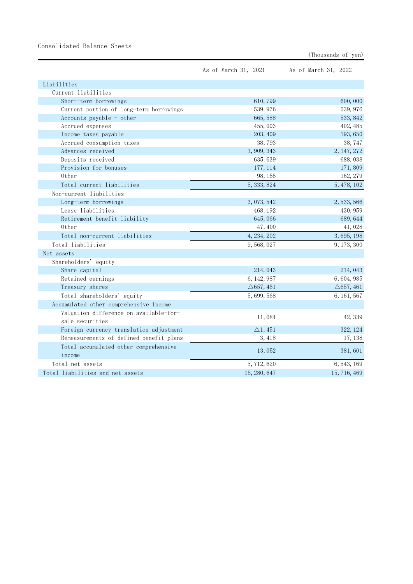## Consolidated Balance Sheets

| (Thousands of yen) |  |  |
|--------------------|--|--|
|--------------------|--|--|

|                                         | As of March 31, 2021 | As of March 31, 2022 |
|-----------------------------------------|----------------------|----------------------|
| Liabilities                             |                      |                      |
| Current liabilities                     |                      |                      |
| Short-term borrowings                   | 610,799              | 600,000              |
| Current portion of long-term borrowings | 539, 976             | 539, 976             |
| Accounts payable $-$ other              | 665,588              | 533, 842             |
| Accrued expenses                        | 455,003              | 402, 485             |
| Income taxes payable                    | 203, 409             | 193, 650             |
| Accrued consumption taxes               | 38,793               | 38,747               |
| Advances received                       | 1,909,343            | 2, 147, 272          |
| Deposits received                       | 635, 639             | 688,038              |
| Provision for bonuses                   | 177, 114             | 171,809              |
| Other                                   | 98, 155              | 162, 279             |
| Total current liabilities               | 5, 333, 824          | 5, 478, 102          |
| Non-current liabilities                 |                      |                      |
| Long-term borrowings                    | 3, 073, 542          | 2, 533, 566          |
| Lease liabilities                       | 468, 192             | 430, 959             |
| Retirement benefit liability            | 645,066              | 689, 644             |
| 0ther                                   | 47,400               | 41,028               |
| Total non-current liabilities           | 4, 234, 202          | 3, 695, 198          |
| Total liabilities                       | 9,568,027            | 9, 173, 300          |
| Net assets                              |                      |                      |
| Shareholders' equity                    |                      |                      |
| Share capital                           | 214, 043             | 214, 043             |
| Retained earnings                       | 6, 142, 987          | 6, 604, 985          |
| Treasury shares                         | $\triangle$ 657, 461 | $\triangle$ 657, 461 |
| Total shareholders' equity              | 5,699,568            | 6, 161, 567          |
| Accumulated other comprehensive income  |                      |                      |
| Valuation difference on available-for-  | 11,084               | 42, 339              |
| sale securities                         |                      |                      |
| Foreign currency translation adjustment | $\triangle 1,451$    | 322, 124             |
| Remeasurements of defined benefit plans | 3, 418               | 17, 138              |
| Total accumulated other comprehensive   | 13,052               | 381,601              |
| income                                  |                      |                      |
| Total net assets                        | 5, 712, 620          | 6, 543, 169          |
| Total liabilities and net assets        | 15, 280, 647         | 15, 716, 469         |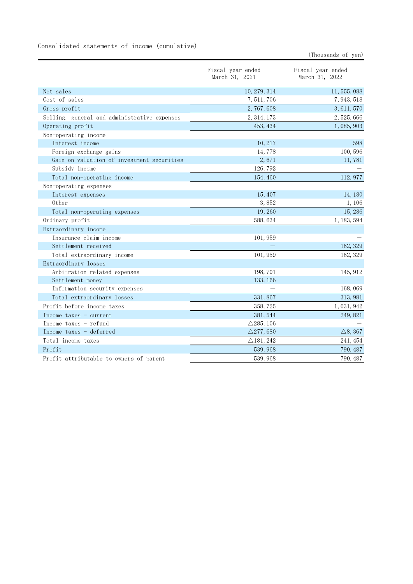|                                              | Fiscal year ended<br>March 31, 2021 | Fiscal year ended<br>March 31, 2022 |
|----------------------------------------------|-------------------------------------|-------------------------------------|
| Net sales                                    | 10, 279, 314                        | 11, 555, 088                        |
| Cost of sales                                | 7, 511, 706                         | 7, 943, 518                         |
| Gross profit                                 | 2, 767, 608                         | 3, 611, 570                         |
| Selling, general and administrative expenses | 2, 314, 173                         | 2, 525, 666                         |
| Operating profit                             | 453, 434                            | 1,085,903                           |
| Non-operating income                         |                                     |                                     |
| Interest income                              | 10, 217                             | 598                                 |
| Foreign exchange gains                       | 14,778                              | 100,596                             |
| Gain on valuation of investment securities   | 2,671                               | 11,781                              |
| Subsidy income                               | 126, 792                            |                                     |
| Total non-operating income                   | 154, 460                            | 112, 977                            |
| Non-operating expenses                       |                                     |                                     |
| Interest expenses                            | 15,407                              | 14, 180                             |
| Other                                        | 3,852                               | 1, 106                              |
| Total non-operating expenses                 | 19,260                              | 15,286                              |
| Ordinary profit                              | 588, 634                            | 1, 183, 594                         |
| Extraordinary income                         |                                     |                                     |
| Insurance claim income                       | 101,959                             |                                     |
| Settlement received                          |                                     | 162, 329                            |
| Total extraordinary income                   | 101, 959                            | 162, 329                            |
| Extraordinary losses                         |                                     |                                     |
| Arbitration related expenses                 | 198, 701                            | 145, 912                            |
| Settlement money                             | 133, 166                            |                                     |
| Information security expenses                |                                     | 168,069                             |
| Total extraordinary losses                   | 331,867                             | 313, 981                            |
| Profit before income taxes                   | 358, 725                            | 1, 031, 942                         |
| Income taxes - current                       | 381, 544                            | 249, 821                            |
| Income taxes - refund                        | $\triangle$ 285, 106                |                                     |
| Income taxes - deferred                      | $\triangle$ 277, 680                | $\triangle$ 8, 367                  |
| Total income taxes                           | $\triangle$ 181, 242                | 241, 454                            |
| Profit                                       | 539, 968                            | 790, 487                            |
| Profit attributable to owners of parent      | 539, 968                            | 790, 487                            |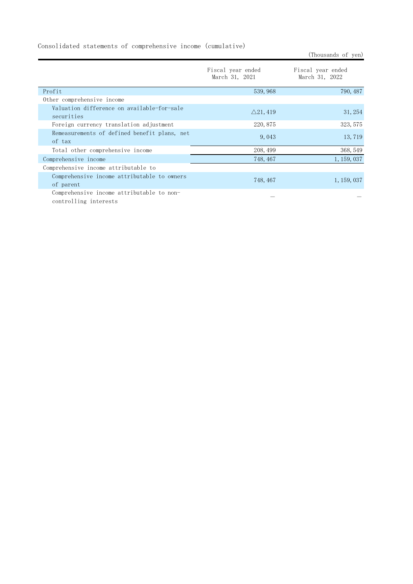Consolidated statements of comprehensive income (cumulative)

Fiscal year ended March 31, 2021 Fiscal year ended March 31, 2022 Profit 539,968 790,487 Other comprehensive income Valuation difference on available-for-sale  $\triangle$ 21,419  $\triangle$ 21,419  $\triangle$ Foreign currency translation adjustment 220,875 323,575 Remeasurements of defined benefit plans, net  $\frac{13,719}{20}$  of tax Total other comprehensive income 208,499 208,499 368,549 Comprehensive income 748,467 1,159,037 Comprehensive income attributable to Comprehensive income attributable to owners of parent 748,467 1,159,037 Comprehensive income attributable to noncontrolling interests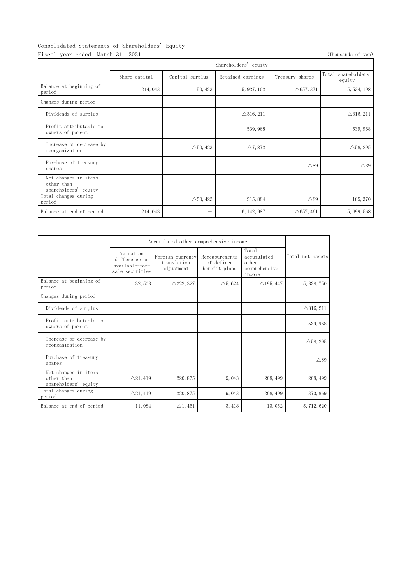# Consolidated Statements of Shareholders' Equity

Fiscal year ended March 31, 2021 **(Thousands of yen)** (Thousands of yen) Shareholders' equity Share capital Capital surplus Retained earnings Treasury shares Total shareholders' equity Balance at beginning of period at beginning of  $214,043$   $50,423$   $5,927,102$   $\Delta 657,371$   $5,534,198$ Changes during period Dividends of surplus  $\triangle 316,211$   $\triangle 316,211$   $\triangle 316,211$ Profit attributable to Profit attributable to the same set of parent 539,968 owners of parent 539,968 for the 539,968 for the 539,968 for the 539,968 for the 539,968 for the set of parent  $\sim$  539,968 for the set of parent  $\sim$  539,968 for the s Increase or decrease by  $\Delta$ 50, 423  $\Delta$ 7, 872  $\Delta$ 58, 295  $\Delta$ 58, 295 Purchase of treasury shares  $\triangle$ 89  $\triangle$ 89  $\triangle$ 89  $\triangle$ 89  $\triangle$ 89  $\triangle$ 89  $\triangle$ 89  $\triangle$ 89  $\triangle$ 89  $\triangle$ 89  $\triangle$ 89  $\triangle$ 89  $\triangle$ 89  $\triangle$ 89  $\triangle$ 89  $\triangle$ 89  $\triangle$ 89  $\triangle$ 89  $\triangle$ 89  $\triangle$ 89  $\triangle$ 89  $\triangle$ 89  $\triangle$ 89  $\triangle$ 89  $\triangle$ 89  $\triangle$ 89  $\triangle$ 89  $\triangle$ 89  $\triangle$ 89  $\triangle$ 89  $\triangle$ Net changes in items other than shareholders' equity Total changes during period -  $\triangle$ 50,423 215,884  $\triangle$ 89 165,370 Balance at end of period 214,043  $-$  6,142,987  $\triangle$ 657,461 5,699,568

|                                                            | Accumulated other comprehensive income                          |                                               |                                               |                                                          |                      |
|------------------------------------------------------------|-----------------------------------------------------------------|-----------------------------------------------|-----------------------------------------------|----------------------------------------------------------|----------------------|
|                                                            | Valuation<br>difference on<br>available-for-<br>sale securities | Foreign currency<br>translation<br>adjustment | Remeasurements<br>of defined<br>benefit plans | Total<br>accumulated<br>other<br>comprehensive<br>income | Total net assets     |
| Balance at beginning of<br>period                          | 32, 503                                                         | $\triangle$ 222, 327                          | $\triangle 5,624$                             | $\triangle$ 195, 447                                     | 5, 338, 750          |
| Changes during period                                      |                                                                 |                                               |                                               |                                                          |                      |
| Dividends of surplus                                       |                                                                 |                                               |                                               |                                                          | $\triangle$ 316, 211 |
| Profit attributable to<br>owners of parent                 |                                                                 |                                               |                                               |                                                          | 539, 968             |
| Increase or decrease by<br>reorganization                  |                                                                 |                                               |                                               |                                                          | $\triangle$ 58, 295  |
| Purchase of treasury<br>shares                             |                                                                 |                                               |                                               |                                                          | $\triangle$ 89       |
| Net changes in items<br>other than<br>shareholders' equity | $\triangle$ 21, 419                                             | 220, 875                                      | 9,043                                         | 208, 499                                                 | 208, 499             |
| Total changes during<br>period                             | $\triangle$ 21, 419                                             | 220, 875                                      | 9,043                                         | 208, 499                                                 | 373, 869             |
| Balance at end of period                                   | 11,084                                                          | $\triangle$ 1, 451                            | 3,418                                         | 13,052                                                   | 5, 712, 620          |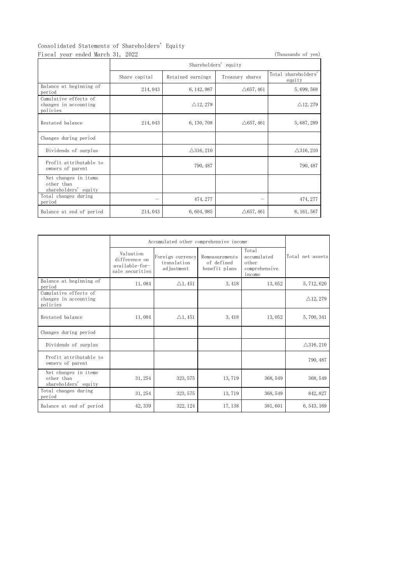# Consolidated Statements of Shareholders' Equity

| orradica piatomonto or bharchoracro Equry,<br>Fiscal year ended March 31, 2022 |                      |                      |                      | (Thousands of yen)            |  |
|--------------------------------------------------------------------------------|----------------------|----------------------|----------------------|-------------------------------|--|
|                                                                                | Shareholders' equity |                      |                      |                               |  |
|                                                                                | Share capital        | Retained earnings    | Treasury shares      | Total shareholders'<br>equity |  |
| Balance at beginning of<br>period                                              | 214,043              | 6, 142, 987          | $\triangle$ 657, 461 | 5, 699, 568                   |  |
| Cumulative effects of<br>changes in accounting<br>policies                     |                      | $\triangle$ 12, 279  |                      | $\triangle$ 12, 279           |  |
| Restated balance                                                               | 214,043              | 6, 130, 708          | $\triangle$ 657, 461 | 5, 687, 289                   |  |
| Changes during period                                                          |                      |                      |                      |                               |  |
| Dividends of surplus                                                           |                      | $\triangle$ 316, 210 |                      | $\triangle$ 316, 210          |  |
| Profit attributable to<br>owners of parent                                     |                      | 790, 487             |                      | 790, 487                      |  |
| Net changes in items<br>other than<br>shareholders' equity                     |                      |                      |                      |                               |  |
| Total changes during<br>period                                                 |                      | 474, 277             |                      | 474, 277                      |  |
| Balance at end of period                                                       | 214,043              | 6, 604, 985          | $\triangle$ 657, 461 | 6, 161, 567                   |  |

|                                                            | Accumulated other comprehensive income                          |                                               |                                               |                                                          |                      |
|------------------------------------------------------------|-----------------------------------------------------------------|-----------------------------------------------|-----------------------------------------------|----------------------------------------------------------|----------------------|
|                                                            | Valuation<br>difference on<br>available-for-<br>sale securities | Foreign currency<br>translation<br>adjustment | Remeasurements<br>of defined<br>benefit plans | Total<br>accumulated<br>other<br>comprehensive<br>income | Total net assets     |
| Balance at beginning of<br>period                          | 11,084                                                          | $\triangle$ 1, 451                            | 3, 418                                        | 13,052                                                   | 5, 712, 620          |
| Cumulative effects of<br>changes in accounting<br>policies |                                                                 |                                               |                                               |                                                          | $\triangle$ 12, 279  |
| Restated balance                                           | 11,084                                                          | $\triangle$ 1, 451                            | 3,418                                         | 13,052                                                   | 5,700,341            |
| Changes during period                                      |                                                                 |                                               |                                               |                                                          |                      |
| Dividends of surplus                                       |                                                                 |                                               |                                               |                                                          | $\triangle$ 316, 210 |
| Profit attributable to<br>owners of parent                 |                                                                 |                                               |                                               |                                                          | 790, 487             |
| Net changes in items<br>other than<br>shareholders' equity | 31, 254                                                         | 323, 575                                      | 13, 719                                       | 368, 549                                                 | 368, 549             |
| Total changes during<br>period                             | 31, 254                                                         | 323, 575                                      | 13,719                                        | 368, 549                                                 | 842, 827             |
| Balance at end of period                                   | 42, 339                                                         | 322, 124                                      | 17, 138                                       | 381,601                                                  | 6, 543, 169          |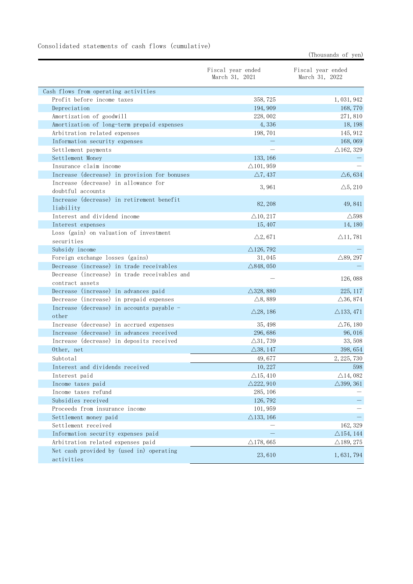|                                                                 | Fiscal year ended<br>March 31, 2021 | Fiscal year ended<br>March 31, 2022 |
|-----------------------------------------------------------------|-------------------------------------|-------------------------------------|
| Cash flows from operating activities                            |                                     |                                     |
| Profit before income taxes                                      | 358, 725                            | 1, 031, 942                         |
| Depreciation                                                    | 194, 909                            | 168,770                             |
| Amortization of goodwill                                        | 228,002                             | 271,810                             |
| Amortization of long-term prepaid expenses                      | 4,336                               | 18, 198                             |
| Arbitration related expenses                                    | 198,701                             | 145, 912                            |
| Information security expenses                                   |                                     | 168,069                             |
| Settlement payments                                             |                                     | $\triangle$ 162, 329                |
| Settlement Money                                                | 133, 166                            |                                     |
| Insurance claim income                                          | $\triangle$ 101, 959                |                                     |
| Increase (decrease) in provision for bonuses                    | $\triangle$ 7, 437                  | $\triangle 6,634$                   |
| Increase (decrease) in allowance for<br>doubtful accounts       | 3,961                               | $\triangle$ 5, 210                  |
| Increase (decrease) in retirement benefit<br>liability          | 82, 208                             | 49,841                              |
| Interest and dividend income                                    | $\triangle$ 10, 217                 | $\triangle$ 598                     |
| Interest expenses                                               | 15, 407                             | 14, 180                             |
| Loss (gain) on valuation of investment<br>securities            | $\triangle 2,671$                   | $\triangle$ 11, 781                 |
| Subsidy income                                                  | $\triangle$ 126, 792                |                                     |
| Foreign exchange losses (gains)                                 | 31,045                              | $\triangle$ 89, 297                 |
| Decrease (increase) in trade receivables                        | $\triangle$ 848, 050                |                                     |
| Decrease (increase) in trade receivables and<br>contract assets |                                     | 126,088                             |
| Decrease (increase) in advances paid                            | $\triangle$ 328, 880                | 225, 117                            |
| Decrease (increase) in prepaid expenses                         | $\triangle$ 8, 889                  | $\triangle$ 36, 874                 |
| Increase (decrease) in accounts payable -<br>other              | $\triangle$ 28, 186                 | $\triangle$ 133, 471                |
| Increase (decrease) in accrued expenses                         | 35, 498                             | $\triangle$ 76, 180                 |
| Increase (decrease) in advances received                        | 296,686                             | 96,016                              |
| Increase (decrease) in deposits received                        | $\triangle$ 31,739                  | 33,508                              |
| Other, net                                                      | $\triangle$ 38, 147                 | 398, 654                            |
| Subtotal                                                        | 49,677                              | 2, 225, 730                         |
| Interest and dividends received                                 | 10,227                              | 598                                 |
| Interest paid                                                   | $\triangle$ 15, 410                 | $\triangle$ 14,082                  |
| Income taxes paid                                               | $\triangle$ 222, 910                | $\triangle$ 399, 361                |
| Income taxes refund                                             | 285, 106                            |                                     |
| Subsidies received                                              | 126, 792                            |                                     |
| Proceeds from insurance income                                  | 101, 959                            |                                     |
| Settlement money paid                                           | $\triangle$ 133, 166                |                                     |
| Settlement received                                             |                                     | 162, 329                            |
| Information security expenses paid                              |                                     | $\triangle$ 154, 144                |
| Arbitration related expenses paid                               | $\triangle$ 178, 665                | $\triangle$ 189, 275                |
| Net cash provided by (used in) operating<br>activities          | 23,610                              | 1,631,794                           |